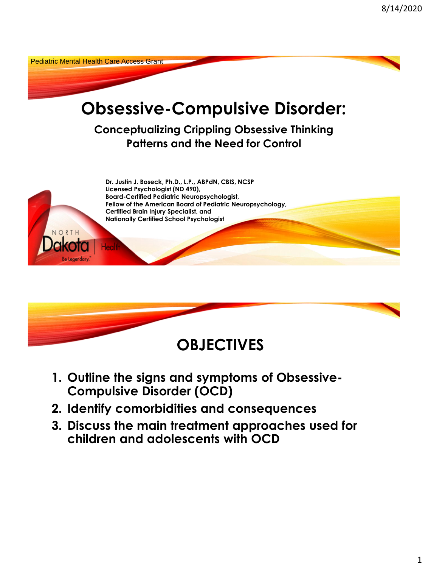



- **1. Outline the signs and symptoms of Obsessive-Compulsive Disorder (OCD)**
- **2. Identify comorbidities and consequences**
- **3. Discuss the main treatment approaches used for children and adolescents with OCD**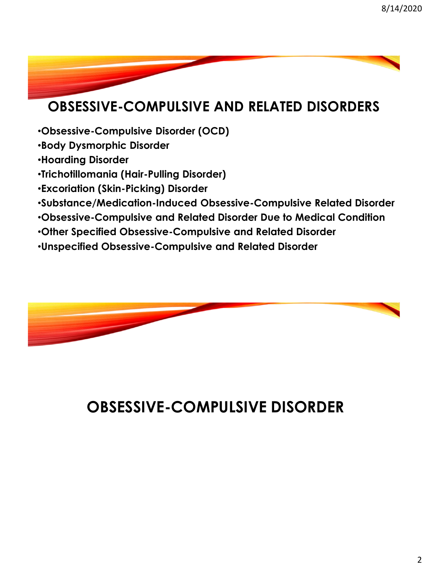#### **OBSESSIVE-COMPULSIVE AND RELATED DISORDERS**

- •**Obsessive-Compulsive Disorder (OCD)**
- •**Body Dysmorphic Disorder**
- •**Hoarding Disorder**
- •**Trichotillomania (Hair-Pulling Disorder)**
- •**Excoriation (Skin-Picking) Disorder**
- •**Substance/Medication-Induced Obsessive-Compulsive Related Disorder**
- •**Obsessive-Compulsive and Related Disorder Due to Medical Condition**
- •**Other Specified Obsessive-Compulsive and Related Disorder**
- •**Unspecified Obsessive-Compulsive and Related Disorder**



## **OBSESSIVE-COMPULSIVE DISORDER**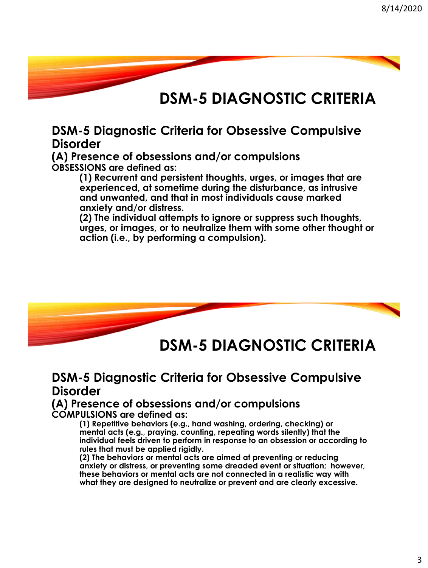#### **DSM-5 DIAGNOSTIC CRITERIA**

#### **DSM-5 Diagnostic Criteria for Obsessive Compulsive Disorder**

**(A) Presence of obsessions and/or compulsions OBSESSIONS are defined as:**

> **(1) Recurrent and persistent thoughts, urges, or images that are experienced, at sometime during the disturbance, as intrusive and unwanted, and that in most individuals cause marked anxiety and/or distress.**

**(2) The individual attempts to ignore or suppress such thoughts, urges, or images, or to neutralize them with some other thought or action (i.e., by performing a compulsion).**



#### **DSM-5 DIAGNOSTIC CRITERIA**

#### **DSM-5 Diagnostic Criteria for Obsessive Compulsive Disorder**

#### **(A) Presence of obsessions and/or compulsions COMPULSIONS are defined as:**

**(1) Repetitive behaviors (e.g., hand washing, ordering, checking) or mental acts (e.g., praying, counting, repeating words silently) that the individual feels driven to perform in response to an obsession or according to rules that must be applied rigidly.**

**(2) The behaviors or mental acts are aimed at preventing or reducing anxiety or distress, or preventing some dreaded event or situation; however, these behaviors or mental acts are not connected in a realistic way with what they are designed to neutralize or prevent and are clearly excessive.**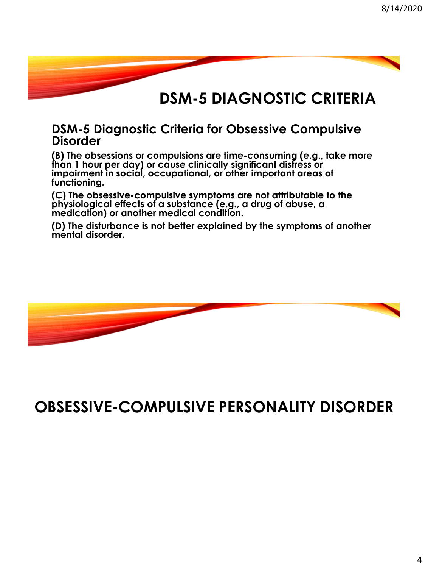#### **DSM-5 DIAGNOSTIC CRITERIA**

#### **DSM-5 Diagnostic Criteria for Obsessive Compulsive Disorder**

**(B) The obsessions or compulsions are time-consuming (e.g., take more than 1 hour per day) or cause clinically significant distress or impairment in social, occupational, or other important areas of functioning.**

**(C) The obsessive-compulsive symptoms are not attributable to the physiological effects of a substance (e.g., a drug of abuse, a medication) or another medical condition.**

**(D) The disturbance is not better explained by the symptoms of another mental disorder.**



**OBSESSIVE-COMPULSIVE PERSONALITY DISORDER**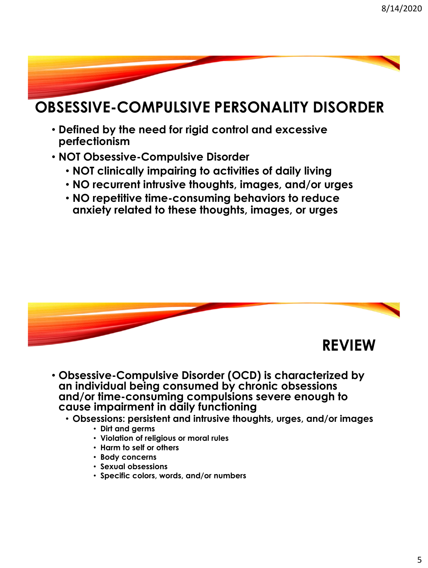#### **OBSESSIVE-COMPULSIVE PERSONALITY DISORDER**

- **Defined by the need for rigid control and excessive perfectionism**
- **NOT Obsessive-Compulsive Disorder**
	- **NOT clinically impairing to activities of daily living**
	- **NO recurrent intrusive thoughts, images, and/or urges**
	- **NO repetitive time-consuming behaviors to reduce anxiety related to these thoughts, images, or urges**



- **Obsessive-Compulsive Disorder (OCD) is characterized by an individual being consumed by chronic obsessions and/or time-consuming compulsions severe enough to cause impairment in daily functioning**
	- **Obsessions: persistent and intrusive thoughts, urges, and/or images**
		- **Dirt and germs**
		- **Violation of religious or moral rules**
		- **Harm to self or others**
		- **Body concerns**
		- **Sexual obsessions**
		- **Specific colors, words, and/or numbers**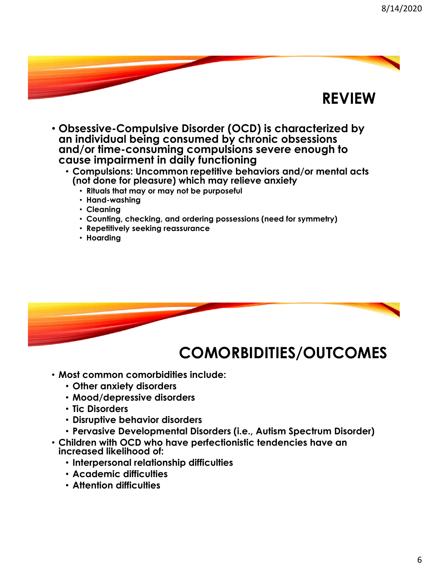#### **REVIEW**

- **Obsessive-Compulsive Disorder (OCD) is characterized by an individual being consumed by chronic obsessions and/or time-consuming compulsions severe enough to cause impairment in daily functioning**
	- **Compulsions: Uncommon repetitive behaviors and/or mental acts (not done for pleasure) which may relieve anxiety**
		- **Rituals that may or may not be purposeful**
		- **Hand-washing**
		- **Cleaning**
		- **Counting, checking, and ordering possessions (need for symmetry)**
		- **Repetitively seeking reassurance**
		- **Hoarding**



#### **COMORBIDITIES/OUTCOMES**

- **Most common comorbidities include:**
	- **Other anxiety disorders**
	- **Mood/depressive disorders**
	- **Tic Disorders**
	- **Disruptive behavior disorders**
	- **Pervasive Developmental Disorders (i.e., Autism Spectrum Disorder)**
- **Children with OCD who have perfectionistic tendencies have an increased likelihood of:**
	- **Interpersonal relationship difficulties**
	- **Academic difficulties**
	- **Attention difficulties**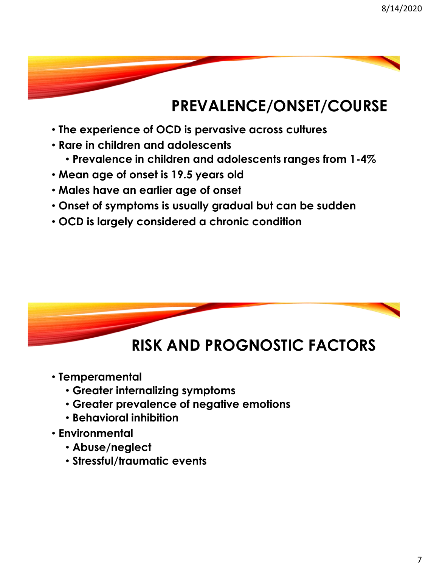# **PREVALENCE/ONSET/COURSE**

- **The experience of OCD is pervasive across cultures**
- **Rare in children and adolescents**
	- **Prevalence in children and adolescents ranges from 1-4%**
- **Mean age of onset is 19.5 years old**
- **Males have an earlier age of onset**
- **Onset of symptoms is usually gradual but can be sudden**
- **OCD is largely considered a chronic condition**



## **RISK AND PROGNOSTIC FACTORS**

- **Temperamental** 
	- **Greater internalizing symptoms**
	- **Greater prevalence of negative emotions**
	- **Behavioral inhibition**
- **Environmental**
	- **Abuse/neglect**
	- **Stressful/traumatic events**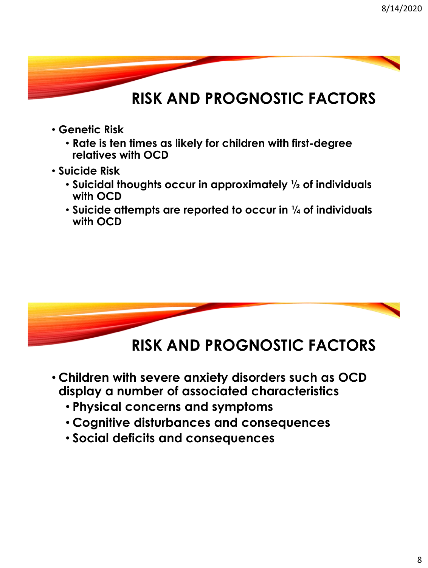#### **RISK AND PROGNOSTIC FACTORS**

- **Genetic Risk**
	- **Rate is ten times as likely for children with first-degree relatives with OCD**
- **Suicide Risk**
	- **Suicidal thoughts occur in approximately ½ of individuals with OCD**
	- **Suicide attempts are reported to occur in ¼ of individuals with OCD**



#### **RISK AND PROGNOSTIC FACTORS**

- **Children with severe anxiety disorders such as OCD display a number of associated characteristics**
	- **Physical concerns and symptoms**
	- **Cognitive disturbances and consequences**
	- **Social deficits and consequences**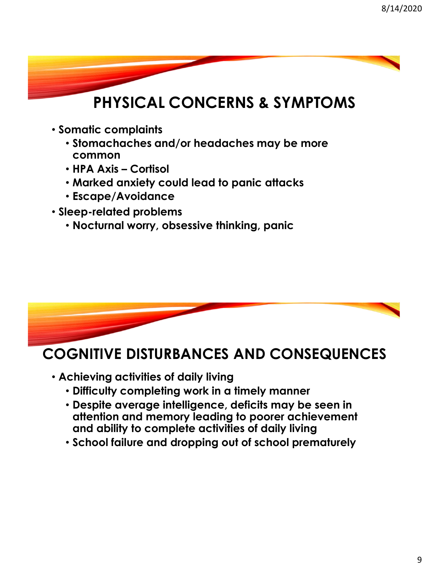# **PHYSICAL CONCERNS & SYMPTOMS**

- **Somatic complaints**
	- **Stomachaches and/or headaches may be more common**
	- **HPA Axis – Cortisol**
	- **Marked anxiety could lead to panic attacks**
	- **Escape/Avoidance**
- **Sleep-related problems**
	- **Nocturnal worry, obsessive thinking, panic**



#### **COGNITIVE DISTURBANCES AND CONSEQUENCES**

- **Achieving activities of daily living**
	- **Difficulty completing work in a timely manner**
	- **Despite average intelligence, deficits may be seen in attention and memory leading to poorer achievement and ability to complete activities of daily living**
	- **School failure and dropping out of school prematurely**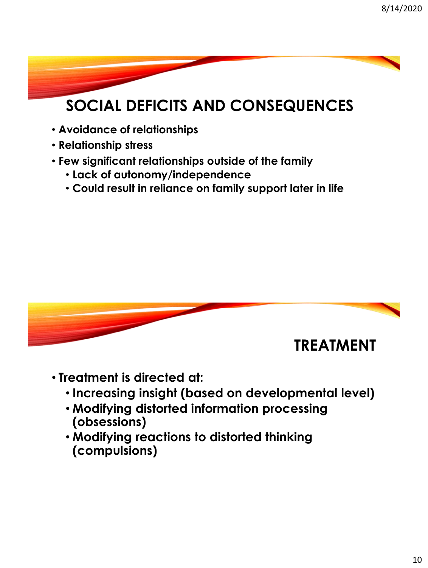# **SOCIAL DEFICITS AND CONSEQUENCES**

- **Avoidance of relationships**
- **Relationship stress**
- **Few significant relationships outside of the family**
	- **Lack of autonomy/independence**
	- **Could result in reliance on family support later in life**



- **Treatment is directed at:**
	- **Increasing insight (based on developmental level)**
	- **Modifying distorted information processing (obsessions)**
	- **Modifying reactions to distorted thinking (compulsions)**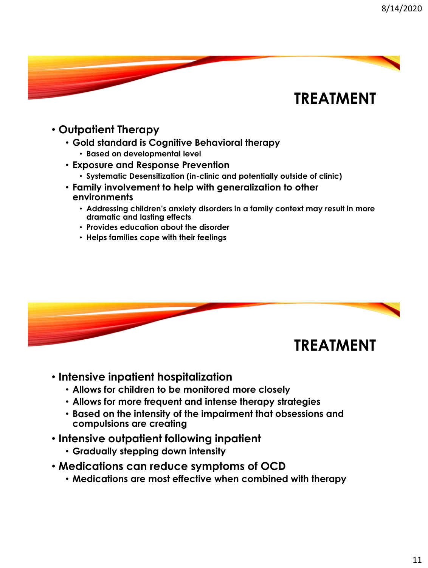#### **TREATMENT**

- **Outpatient Therapy**
	- **Gold standard is Cognitive Behavioral therapy**
		- **Based on developmental level**
	- **Exposure and Response Prevention**
		- **Systematic Desensitization (in-clinic and potentially outside of clinic)**
	- **Family involvement to help with generalization to other environments**
		- **Addressing children's anxiety disorders in a family context may result in more dramatic and lasting effects**
		- **Provides education about the disorder**
		- **Helps families cope with their feelings**



- **Intensive inpatient hospitalization**
	- **Allows for children to be monitored more closely**
	- **Allows for more frequent and intense therapy strategies**
	- **Based on the intensity of the impairment that obsessions and compulsions are creating**
- **Intensive outpatient following inpatient**
	- **Gradually stepping down intensity**
- **Medications can reduce symptoms of OCD**
	- **Medications are most effective when combined with therapy**